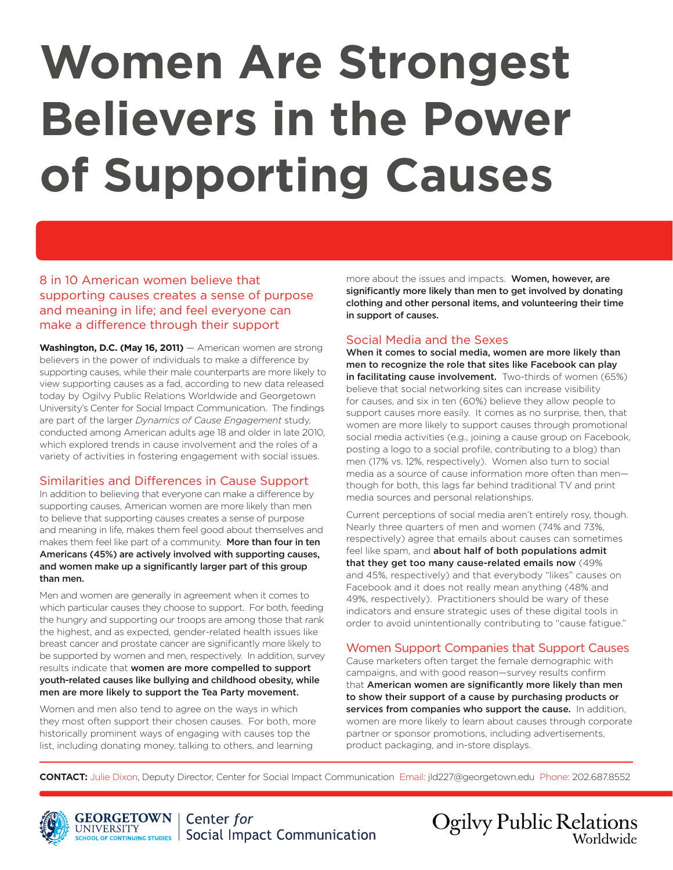# **Women Are Strongest Believers in the Power of Supporting Causes**

8 in 10 American women believe that supporting causes creates a sense of purpose and meaning in life; and feel everyone can make a difference through their support

Washington, D.C. (May 16, 2011) — American women are strong believers in the power of individuals to make a difference by supporting causes, while their male counterparts are more likely to view supporting causes as a fad, according to new data released today by Ogilvy Public Relations Worldwide and Georgetown University's Center for Social Impact Communication. The findings are part of the larger *Dynamics of Cause Engagement* study, conducted among American adults age 18 and older in late 2010, which explored trends in cause involvement and the roles of a variety of activities in fostering engagement with social issues.

## Similarities and Differences in Cause Support

In addition to believing that everyone can make a difference by supporting causes, American women are more likely than men to believe that supporting causes creates a sense of purpose and meaning in life, makes them feel good about themselves and makes them feel like part of a community. More than four in ten Americans (45%) are actively involved with supporting causes, and women make up a significantly larger part of this group than men.

Men and women are generally in agreement when it comes to which particular causes they choose to support. For both, feeding the hungry and supporting our troops are among those that rank the highest, and as expected, gender-related health issues like breast cancer and prostate cancer are significantly more likely to be supported by women and men, respectively. In addition, survey results indicate that women are more compelled to support youth-related causes like bullying and childhood obesity, while men are more likely to support the Tea Party movement.

Women and men also tend to agree on the ways in which they most often support their chosen causes. For both, more historically prominent ways of engaging with causes top the list, including donating money, talking to others, and learning

more about the issues and impacts. Women, however, are significantly more likely than men to get involved by donating clothing and other personal items, and volunteering their time in support of causes.

## Social Media and the Sexes

When it comes to social media, women are more likely than men to recognize the role that sites like Facebook can play in facilitating cause involvement. Two-thirds of women (65%) believe that social networking sites can increase visibility for causes, and six in ten (60%) believe they allow people to support causes more easily. It comes as no surprise, then, that women are more likely to support causes through promotional social media activities (e.g., joining a cause group on Facebook, posting a logo to a social profile, contributing to a blog) than men (17% vs. 12%, respectively). Women also turn to social media as a source of cause information more often than men though for both, this lags far behind traditional TV and print media sources and personal relationships.

Current perceptions of social media aren't entirely rosy, though. Nearly three quarters of men and women (74% and 73%, respectively) agree that emails about causes can sometimes feel like spam, and about half of both populations admit that they get too many cause-related emails now (49% and 45%, respectively) and that everybody "likes" causes on Facebook and it does not really mean anything (48% and 49%, respectively). Practitioners should be wary of these indicators and ensure strategic uses of these digital tools in order to avoid unintentionally contributing to "cause fatigue."

## Women Support Companies that Support Causes

Cause marketers often target the female demographic with campaigns, and with good reason—survey results confirm that American women are significantly more likely than men to show their support of a cause by purchasing products or services from companies who support the cause. In addition, women are more likely to learn about causes through corporate partner or sponsor promotions, including advertisements, product packaging, and in-store displays.

**CONTACT:** Julie Dixon, Deputy Director, Center for Social Impact Communication Email: jld227@georgetown.edu Phone: 202.687.8552





**Ogilvy Public Relations** Worldwide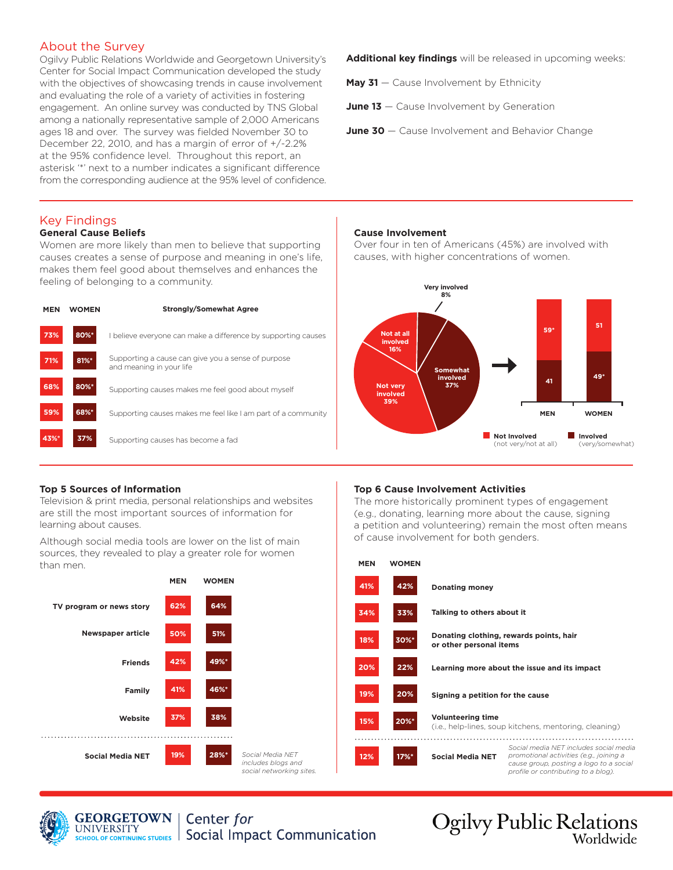## About the Survey

Ogilvy Public Relations Worldwide and Georgetown University's Center for Social Impact Communication developed the study with the objectives of showcasing trends in cause involvement and evaluating the role of a variety of activities in fostering engagement. An online survey was conducted by TNS Global among a nationally representative sample of 2,000 Americans ages 18 and over. The survey was fielded November 30 to December 22, 2010, and has a margin of error of +/-2.2% at the 95% confidence level. Throughout this report, an asterisk '\*' next to a number indicates a significant difference from the corresponding audience at the 95% level of confidence.

#### Key Findings **General Cause Beliefs**

Women are more likely than men to believe that supporting causes creates a sense of purpose and meaning in one's life, makes them feel good about themselves and enhances the

feeling of belonging to a community.

| <b>MEN</b> | <b>WOMEN</b> | <b>Strongly/Somewhat Agree</b>                                                 |                                                |
|------------|--------------|--------------------------------------------------------------------------------|------------------------------------------------|
| 73%        | 80%*         | believe everyone can make a difference by supporting causes                    | Not at all<br>involved                         |
| 71%        | 81%*         | Supporting a cause can give you a sense of purpose<br>and meaning in your life | 16%<br><b>Somewhat</b>                         |
| 68%        | 80%*         | Supporting causes makes me feel good about myself                              | involved<br>37%<br><b>Not verv</b><br>involved |
| 59%        | 68%*         | Supporting causes makes me feel like I am part of a community                  | 39%                                            |
| 43%*       | 37%          | Supporting causes has become a fad                                             | Not Involved<br>(not very/not                  |

**Additional key findings** will be released in upcoming weeks:

May 31 – Cause Involvement by Ethnicity

**June 13** – Cause Involvement by Generation

**June 30** – Cause Involvement and Behavior Change

#### **Cause Involvement**

Over four in ten of Americans (45%) are involved with causes, with higher concentrations of women.



#### **Top 5 Sources of Information**

Television & print media, personal relationships and websites are still the most important sources of information for learning about causes.

Although social media tools are lower on the list of main sources, they revealed to play a greater role for women than men.



#### **Top 6 Cause Involvement Activities**

The more historically prominent types of engagement (e.g., donating, learning more about the cause, signing a petition and volunteering) remain the most often means of cause involvement for both genders.



**Ogilvy Public Relations** 

Worldwide

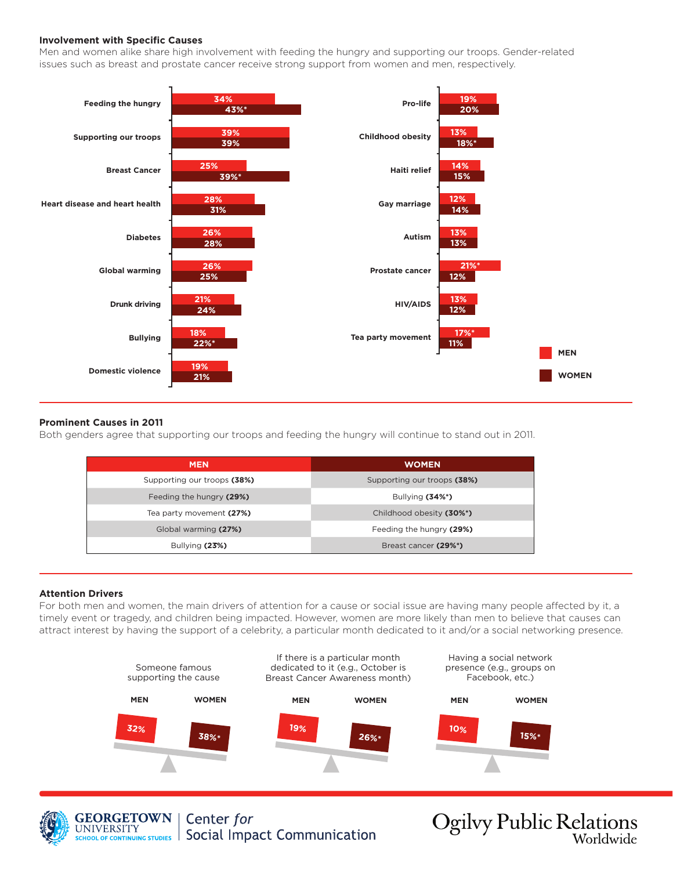#### **Involvement with Specific Causes**

Men and women alike share high involvement with feeding the hungry and supporting our troops. Gender-related issues such as breast and prostate cancer receive strong support from women and men, respectively.



#### **Prominent Causes in 2011**

Both genders agree that supporting our troops and feeding the hungry will continue to stand out in 2011.

| <b>MEN</b>                  | <b>WOMEN</b>                |
|-----------------------------|-----------------------------|
| Supporting our troops (38%) | Supporting our troops (38%) |
| Feeding the hungry (29%)    | Bullying $(34\%)$           |
| Tea party movement (27%)    | Childhood obesity (30%*)    |
| Global warming (27%)        | Feeding the hungry (29%)    |
| Bullying $(23%)$            | Breast cancer (29%*)        |
|                             |                             |

#### **Attention Drivers**

For both men and women, the main drivers of attention for a cause or social issue are having many people affected by it, a timely event or tragedy, and children being impacted. However, women are more likely than men to believe that causes can attract interest by having the support of a celebrity, a particular month dedicated to it and/or a social networking presence.





**GEORGETOWN** | Center for **UNIVERSITY** Social Impact Communication SCHOOL OF CONTINUING STUDIES

**Ogilvy Public Relations**<br>Worldwide